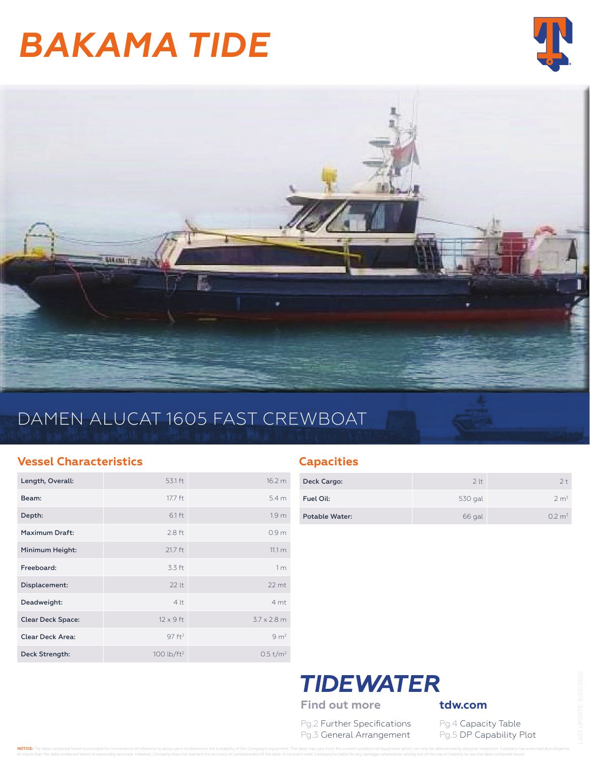# *BAKAMA TIDE*





## DAMEN ALUCAT 1605 FAST CREWBOAT

#### **Vessel Characteristics**

| Length, Overall:         | 53.1 ft                | 16.2 m               |
|--------------------------|------------------------|----------------------|
| Beam:                    | 17.7 ft                | 5.4 <sub>m</sub>     |
| Depth:                   | 6.1 ft                 | 1.9 <sub>m</sub>     |
| Maximum Draft:           | $2.8$ ft               | 0.9 <sub>m</sub>     |
| Minimum Height:          | 21.7 ft                | 11.1 m               |
| Freeboard:               | 3.3 ft                 | 1 <sub>m</sub>       |
| Displacement:            | 221 <sub>1</sub>       | $22$ mt              |
| Deadweight:              | 4lt                    | 4 mt                 |
| <b>Clear Deck Space:</b> | $12 \times 9$ ft       | $3.7 \times 2.8$ m   |
| <b>Clear Deck Area:</b>  | 97 ft <sup>2</sup>     | 9 m <sup>2</sup>     |
| Deck Strength:           | 100 lb/ft <sup>2</sup> | 0.5 t/m <sup>2</sup> |

## **Capacities**

| Deck Cargo:    | 2 <sub>lt</sub> | $2 +$              |
|----------------|-----------------|--------------------|
| Fuel Oil:      | 530 gal         | 2 m <sup>3</sup>   |
| Potable Water: | 66 gal          | 0.2 m <sup>3</sup> |



Pg.2 Further Specifications Pg.4 Capacity Table Pg.3 General Arrangement Pg.5 DP Capability Plot

NOTICE: The data contained herein is provided for convenience of reference to allow users to determine the suitability of the Company's equipment. The data may vary from the current condition of equipment which can only be to insure that the data contained herein is reasonably accurate. However, Company does not warrant the accuracy or completeness of the data. In no event shall Company be liable for any damages whatsoever arising out of the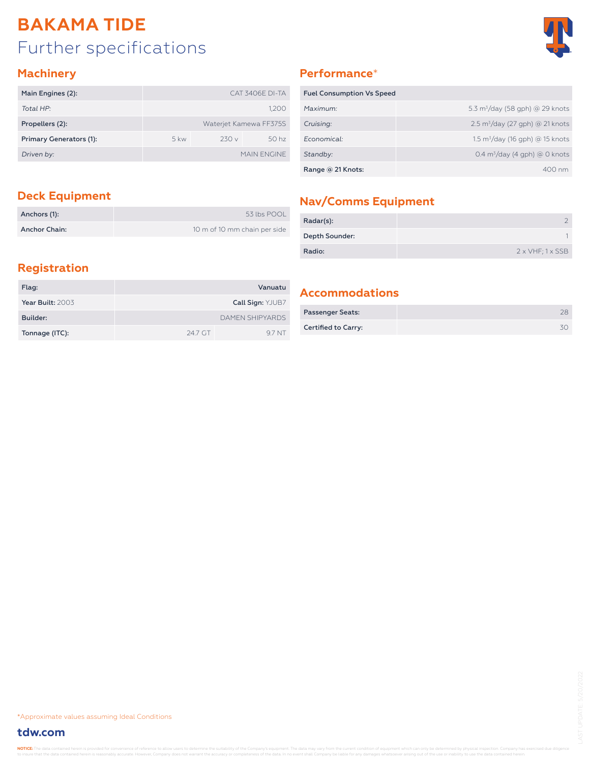## Further specifications **BAKAMA TIDE**



#### **Machinery**

| Main Engines (2):       |               |      | CAT 3406F DI-TA        |
|-------------------------|---------------|------|------------------------|
| Total HP:               |               |      | 1.200                  |
| Propellers (2):         |               |      | Waterjet Kamewa FF375S |
| Primary Generators (1): | $5 \text{kw}$ | 230v | 50 <sub>hz</sub>       |
| Driven by:              |               |      | MAIN FNGINE            |

## **Performance**\*

| <b>Fuel Consumption Vs Speed</b> |                                             |
|----------------------------------|---------------------------------------------|
| Maximum:                         | 5.3 $m^3$ /day (58 gph) @ 29 knots          |
| Cruising:                        | $2.5 \text{ m}^3$ /day (27 gph) @ 21 knots  |
| Economical:                      | 1.5 m <sup>3</sup> /day (16 gph) @ 15 knots |
| Standby:                         | $0.4 \text{ m}^3$ /day (4 gph) @ 0 knots    |
| Range @ 21 Knots:                | $400 \text{ nm}$                            |

| Anchors (1):         | 53 lbs POOL                  |
|----------------------|------------------------------|
| <b>Anchor Chain:</b> | 10 m of 10 mm chain per side |

## **Deck Equipment Nav/Comms Equipment**

| Radar(s):      |                                 |
|----------------|---------------------------------|
| Depth Sounder: |                                 |
| Radio:         | $2 \times VHF$ ; $1 \times SSB$ |

## **Registration**

| Flag:            |         | Vanuatu                |
|------------------|---------|------------------------|
| Year Built: 2003 |         | Call Sign: YJUB7       |
| Builder:         |         | <b>DAMEN SHIPYARDS</b> |
| Tonnage (ITC):   | 24.7 GT | 97 NT                  |

### **Accommodations**

| <b>Passenger Seats:</b> |  |
|-------------------------|--|
| Certified to Carry:     |  |

\*Approximate values assuming Ideal Conditions

### **tdw.com**

NOTICE: The data contained herein is prothe data contained herein is reasonably accurate. However, Company does not warrant the accuracy or completeness of the data. In no event shall Company be liable for any damages whatsoever arising out of the use or inabili